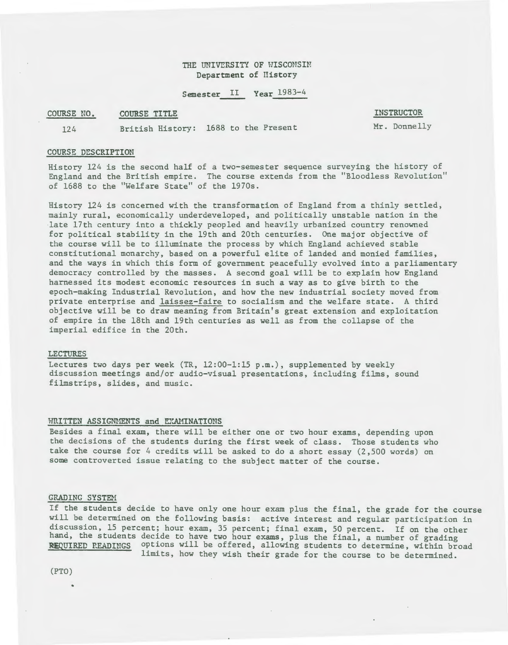# THE UNIVERSITY OF WISCONSIN Department of Ilistory

Semester II Year 1983-4

#### COURSE NO. COURSE TITLE

INSTRUCTOR

Mr. Donnelly

124 British History: 1688 to the Present

### COURSE DESCRIPTION

History 124 is the second half of a two-semester sequence surveying the history of England and the British empire. The course extends from the "Bloodless Revolution" of 1688 to the "Welfare State" of the 1970s.

History 124 is concerned with the transformation of England from a thinly settled, mainly rural, economically underdeveloped, and politically unstable nation in the late 17th century into a thickly peopled and heavily urbanized country renowned for political stability in the 19th and 20th centuries. One major objective of the course will be to illuminate the process by which England achieved stable constitutional monarchy, based on a powerful elite of landed and monied families, and the ways in which this form of government peacefully evolved into a parliamentary democracy controlled by the masses. A second goal will be to explain how England harnessed its modest economic resources in such a way as to give birth to the epoch-making Industrial Revolution, and how the new industrial society moved from private enterprise and laissez-faire to socialism and the welfare state. A third objective will be to draw meaning from Britain's great extension and exploitation of empire in the 18th and 19th centuries as well as from the collapse of the imperial edifice in the 20th.

#### LECTURES

Lectures two days per week (TR, 12:00-1:15 p.m.), supplemented by weekly discussion meetings and/or audio-visual presentations, including films, sound filmstrips, slides, and music.

#### WRITTEN ASSIGNMENTS and EXAMINATIONS

Besides a final exam, there will be either one or two hour exams, depending upon the decisions of the students during the first week of class. Those students who take the course for 4 credits will be asked to do a short essay  $(2,500 \text{ words})$  on some controverted issue relating to the subject matter of the course.

## GRADING SYSTEN

If the students decide to have only one hour exam plus the final, the grade for the course will be determined on the following basis: active interest and regular participation in discussion, 15 percent; hour exam, 35 percent; final exam, 50 percent. If on the other hand, the students decide to have two hour exams, plus the final, a number of grading REqUIRED READINGS options will be offered, allowing students to determine, within broad limits, how they wish their grade for the course to be determined.

(PTO)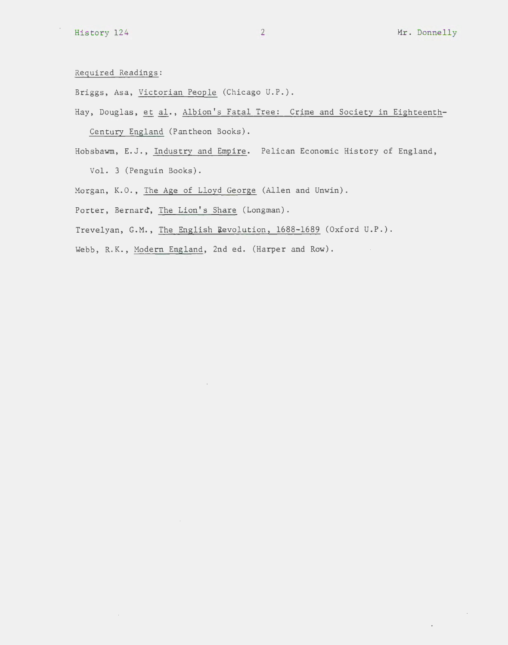$\ddot{\phantom{a}}$ 

 $\sim 10^{11}$  km

Required Readings:

- Briggs, Asa, Victorian People (Chicago U.P.).
- Hay, Douglas, et al., Albion's Fatal Tree: Crime and Society in Eighteenth-Century England (Pantheon Books).
- Hobsbawm, E.J., Industry and Empire. Pelican Economic History of England, Vol. 3 (Penguin Books).
- Morgan, K.O., The Age of Lloyd George (Allen and Unwin).
- Porter, Bernard, The Lion's Share (Longman).
- Trevelyan, G.M., The English Revolution, 1688-1689 (Oxford U.P.).
- Webb, R.K., Modern England, 2nd ed. (Harper and Row).